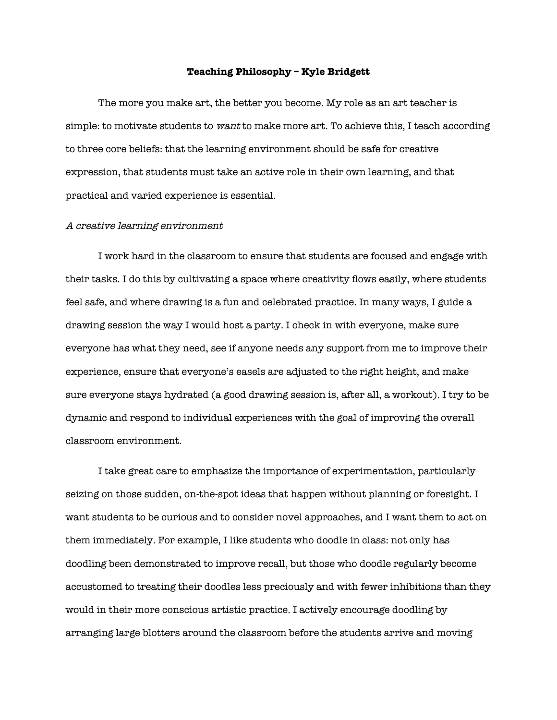## **Teaching Philosophy – Kyle Bridgett**

The more you make art, the better you become. My role as an art teacher is simple: to motivate students to want to make more art. To achieve this, I teach according to three core beliefs: that the learning environment should be safe for creative expression, that students must take an active role in their own learning, and that practical and varied experience is essential.

## A creative learning environment

I work hard in the classroom to ensure that students are focused and engage with their tasks. I do this by cultivating a space where creativity fows easily, where students feel safe, and where drawing is a fun and celebrated practice. In many ways, I guide a drawing session the way I would host a party. I check in with everyone, make sure everyone has what they need, see if anyone needs any support from me to improve their experience, ensure that everyone's easels are adjusted to the right height, and make sure everyone stays hydrated (a good drawing session is, after all, a workout). I try to be dynamic and respond to individual experiences with the goal of improving the overall classroom environment.

I take great care to emphasize the importance of experimentation, particularly seizing on those sudden, on-the-spot ideas that happen without planning or foresight. I want students to be curious and to consider novel approaches, and I want them to act on them immediately. For example, I like students who doodle in class: not only has doodling been demonstrated to improve recall, but those who doodle regularly become accustomed to treating their doodles less preciously and with fewer inhibitions than they would in their more conscious artistic practice. I actively encourage doodling by arranging large blotters around the classroom before the students arrive and moving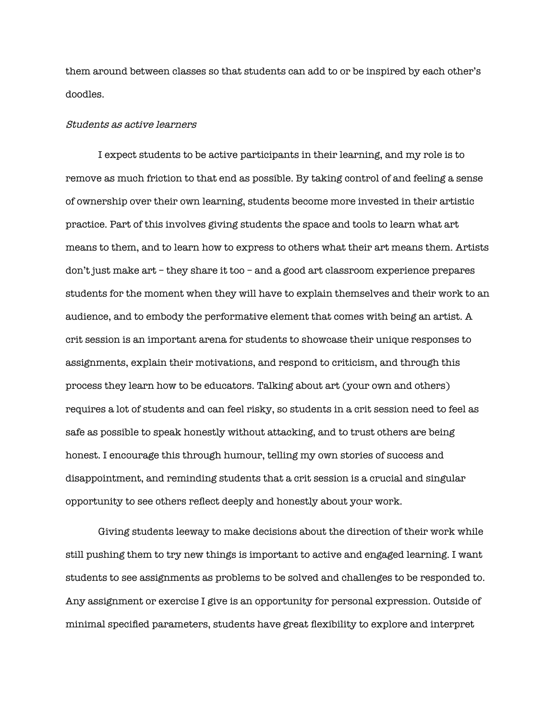them around between classes so that students can add to or be inspired by each other's doodles.

## Students as active learners

I expect students to be active participants in their learning, and my role is to remove as much friction to that end as possible. By taking control of and feeling a sense of ownership over their own learning, students become more invested in their artistic practice. Part of this involves giving students the space and tools to learn what art means to them, and to learn how to express to others what their art means them. Artists don't just make art – they share it too – and a good art classroom experience prepares students for the moment when they will have to explain themselves and their work to an audience, and to embody the performative element that comes with being an artist. A crit session is an important arena for students to showcase their unique responses to assignments, explain their motivations, and respond to criticism, and through this process they learn how to be educators. Talking about art (your own and others) requires a lot of students and can feel risky, so students in a crit session need to feel as safe as possible to speak honestly without attacking, and to trust others are being honest. I encourage this through humour, telling my own stories of success and disappointment, and reminding students that a crit session is a crucial and singular opportunity to see others refect deeply and honestly about your work.

Giving students leeway to make decisions about the direction of their work while still pushing them to try new things is important to active and engaged learning. I want students to see assignments as problems to be solved and challenges to be responded to. Any assignment or exercise I give is an opportunity for personal expression. Outside of minimal specifed parameters, students have great fexibility to explore and interpret